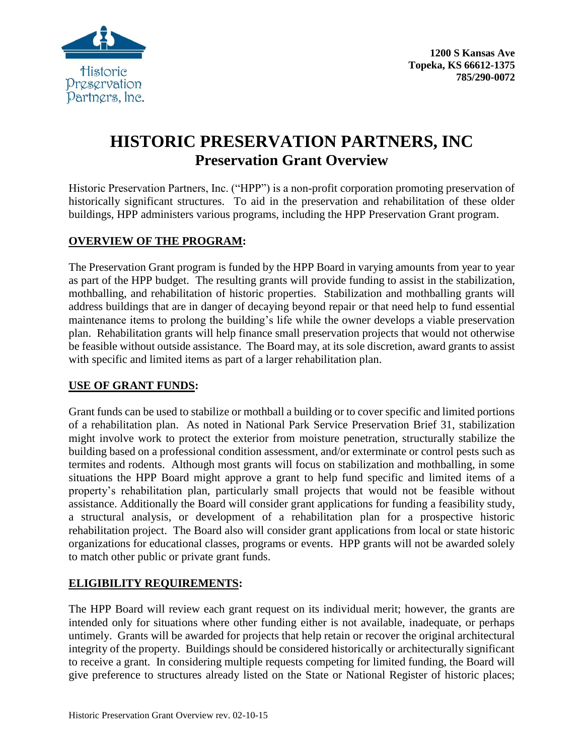

**1200 S Kansas Ave Topeka, KS 66612-1375 785/290-0072**

# **HISTORIC PRESERVATION PARTNERS, INC Preservation Grant Overview**

Historic Preservation Partners, Inc. ("HPP") is a non-profit corporation promoting preservation of historically significant structures. To aid in the preservation and rehabilitation of these older buildings, HPP administers various programs, including the HPP Preservation Grant program.

### **OVERVIEW OF THE PROGRAM:**

The Preservation Grant program is funded by the HPP Board in varying amounts from year to year as part of the HPP budget. The resulting grants will provide funding to assist in the stabilization, mothballing, and rehabilitation of historic properties. Stabilization and mothballing grants will address buildings that are in danger of decaying beyond repair or that need help to fund essential maintenance items to prolong the building's life while the owner develops a viable preservation plan. Rehabilitation grants will help finance small preservation projects that would not otherwise be feasible without outside assistance. The Board may, at its sole discretion, award grants to assist with specific and limited items as part of a larger rehabilitation plan.

#### **USE OF GRANT FUNDS:**

Grant funds can be used to stabilize or mothball a building or to cover specific and limited portions of a rehabilitation plan. As noted in National Park Service Preservation Brief 31, stabilization might involve work to protect the exterior from moisture penetration, structurally stabilize the building based on a professional condition assessment, and/or exterminate or control pests such as termites and rodents. Although most grants will focus on stabilization and mothballing, in some situations the HPP Board might approve a grant to help fund specific and limited items of a property's rehabilitation plan, particularly small projects that would not be feasible without assistance. Additionally the Board will consider grant applications for funding a feasibility study, a structural analysis, or development of a rehabilitation plan for a prospective historic rehabilitation project. The Board also will consider grant applications from local or state historic organizations for educational classes, programs or events. HPP grants will not be awarded solely to match other public or private grant funds.

## **ELIGIBILITY REQUIREMENTS:**

The HPP Board will review each grant request on its individual merit; however, the grants are intended only for situations where other funding either is not available, inadequate, or perhaps untimely. Grants will be awarded for projects that help retain or recover the original architectural integrity of the property. Buildings should be considered historically or architecturally significant to receive a grant. In considering multiple requests competing for limited funding, the Board will give preference to structures already listed on the State or National Register of historic places;